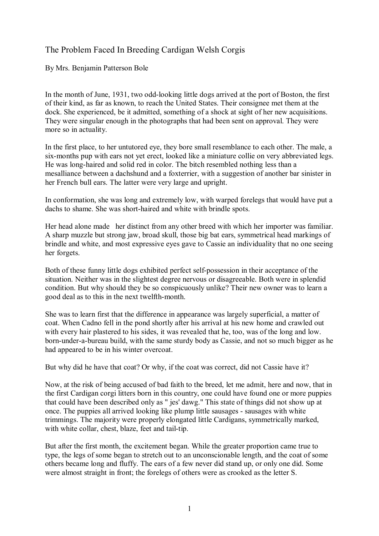## The Problem Faced In Breeding Cardigan Welsh Corgis

By Mrs. Benjamin Patterson Bole

In the month of June, 1931, two odd-looking little dogs arrived at the port of Boston, the first of their kind, as far as known, to reach the United States. Their consignee met them at the dock. She experienced, be it admitted, something of a shock at sight of her new acquisitions. They were singular enough in the photographs that had been sent on approval. They were more so in actuality.

In the first place, to her untutored eye, they bore small resemblance to each other. The male, a six-months pup with ears not yet erect, looked like a miniature collie on very abbreviated legs. He was long-haired and solid red in color. The bitch resembled nothing less than a mesalliance between a dachshund and a foxterrier, with a suggestion of another bar sinister in her French bull ears. The latter were very large and upright.

In conformation, she was long and extremely low, with warped forelegs that would have put a dachs to shame. She was short-haired and white with brindle spots.

Her head alone made her distinct from any other breed with which her importer was familiar. A sharp muzzle but strong jaw, broad skull, those big bat ears, symmetrical head markings of brindle and white, and most expressive eyes gave to Cassie an individuality that no one seeing her forgets.

Both of these funny little dogs exhibited perfect self-possession in their acceptance of the situation. Neither was in the slightest degree nervous or disagreeable. Both were in splendid condition. But why should they be so conspicuously unlike? Their new owner was to learn a good deal as to this in the next twelfth-month.

She was to learn first that the difference in appearance was largely superficial, a matter of coat. When Cadno fell in the pond shortly after his arrival at his new home and crawled out with every hair plastered to his sides, it was revealed that he, too, was of the long and low. born-under-a-bureau build, with the same sturdy body as Cassie, and not so much bigger as he had appeared to be in his winter overcoat.

But why did he have that coat? Or why, if the coat was correct, did not Cassie have it?

Now, at the risk of being accused of bad faith to the breed, let me admit, here and now, that in the first Cardigan corgi litters born in this country, one could have found one or more puppies that could have been described only as " jes' dawg." This state of things did not show up at once. The puppies all arrived looking like plump little sausages - sausages with white trimmings. The majority were properly elongated little Cardigans, symmetrically marked, with white collar, chest, blaze, feet and tail-tip.

But after the first month, the excitement began. While the greater proportion came true to type, the legs of some began to stretch out to an unconscionable length, and the coat of some others became long and fluffy. The ears of a few never did stand up, or only one did. Some were almost straight in front; the forelegs of others were as crooked as the letter S.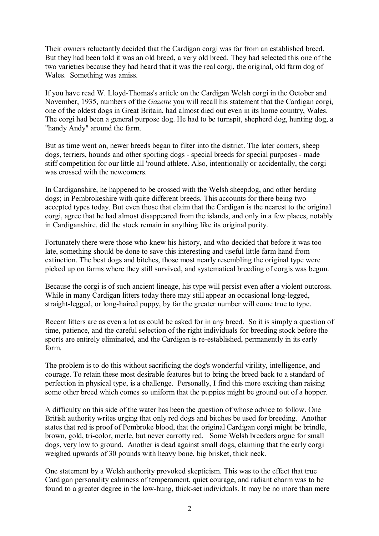Their owners reluctantly decided that the Cardigan corgi was far from an established breed. But they had been told it was an old breed, a very old breed. They had selected this one of the two varieties because they had heard that it was the real corgi, the original, old farm dog of Wales. Something was amiss.

If you have read W. Lloyd-Thomas's article on the Cardigan Welsh corgi in the October and November, 1935, numbers of the *Gazette* you will recall his statement that the Cardigan corgi, one of the oldest dogs in Great Britain, had almost died out even in its home country, Wales. The corgi had been a general purpose dog. He had to be turnspit, shepherd dog, hunting dog, a "handy Andy" around the farm.

But as time went on, newer breeds began to filter into the district. The later comers, sheep dogs, terriers, hounds and other sporting dogs - special breeds for special purposes - made stiff competition for our little all 'round athlete. Also, intentionally or accidentally, the corgi was crossed with the newcomers.

In Cardiganshire, he happened to be crossed with the Welsh sheepdog, and other herding dogs; in Pembrokeshire with quite different breeds. This accounts for there being two accepted types today. But even those that claim that the Cardigan is the nearest to the original corgi, agree that he had almost disappeared from the islands, and only in a few places, notably in Cardiganshire, did the stock remain in anything like its original purity.

Fortunately there were those who knew his history, and who decided that before it was too late, something should be done to save this interesting and useful little farm hand from extinction. The best dogs and bitches, those most nearly resembling the original type were picked up on farms where they still survived, and systematical breeding of corgis was begun.

Because the corgi is of such ancient lineage, his type will persist even after a violent outcross. While in many Cardigan litters today there may still appear an occasional long-legged, straight-legged, or long-haired puppy, by far the greater number will come true to type.

Recent litters are as even a lot as could be asked for in any breed. So it is simply a question of time, patience, and the careful selection of the right individuals for breeding stock before the sports are entirely eliminated, and the Cardigan is re-established, permanently in its early form.

The problem is to do this without sacrificing the dog's wonderful virility, intelligence, and courage. To retain these most desirable features but to bring the breed back to a standard of perfection in physical type, is a challenge. Personally, I find this more exciting than raising some other breed which comes so uniform that the puppies might be ground out of a hopper.

A difficulty on this side of the water has been the question of whose advice to follow. One British authority writes urging that only red dogs and bitches be used for breeding. Another states that red is proof of Pembroke blood, that the original Cardigan corgi might be brindle, brown, gold, tri-color, merle, but never carrotty red. Some Welsh breeders argue for small dogs, very low to ground. Another is dead against small dogs, claiming that the early corgi weighed upwards of 30 pounds with heavy bone, big brisket, thick neck.

One statement by a Welsh authority provoked skepticism. This was to the effect that true Cardigan personality calmness of temperament, quiet courage, and radiant charm was to be found to a greater degree in the low-hung, thick-set individuals. It may be no more than mere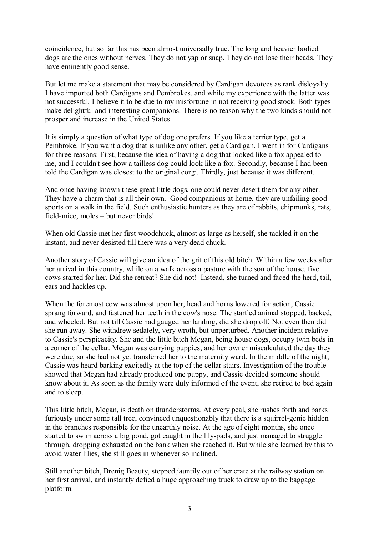coincidence, but so far this has been almost universally true. The long and heavier bodied dogs are the ones without nerves. They do not yap or snap. They do not lose their heads. They have eminently good sense.

But let me make a statement that may be considered by Cardigan devotees as rank disloyalty. I have imported both Cardigans and Pembrokes, and while my experience with the latter was not successful, I believe it to be due to my misfortune in not receiving good stock. Both types make delightful and interesting companions. There is no reason why the two kinds should not prosper and increase in the United States.

It is simply a question of what type of dog one prefers. If you like a terrier type, get a Pembroke. If you want a dog that is unlike any other, get a Cardigan. I went in for Cardigans for three reasons: First, because the idea of having a dog that looked like a fox appealed to me, and I couldn't see how a tailless dog could look like a fox. Secondly, because I had been told the Cardigan was closest to the original corgi. Thirdly, just because it was different.

And once having known these great little dogs, one could never desert them for any other. They have a charm that is all their own. Good companions at home, they are unfailing good sports on a walk in the field. Such enthusiastic hunters as they are of rabbits, chipmunks, rats, field-mice, moles – but never birds!

When old Cassie met her first woodchuck, almost as large as herself, she tackled it on the instant, and never desisted till there was a very dead chuck.

Another story of Cassie will give an idea of the grit of this old bitch. Within a few weeks after her arrival in this country, while on a walk across a pasture with the son of the house, five cows started for her. Did she retreat? She did not! Instead, she turned and faced the herd, tail, ears and hackles up.

When the foremost cow was almost upon her, head and horns lowered for action, Cassie sprang forward, and fastened her teeth in the cow's nose. The startled animal stopped, backed, and wheeled. But not till Cassie had gauged her landing, did she drop off. Not even then did she run away. She withdrew sedately, very wroth, but unperturbed. Another incident relative to Cassie's perspicacity. She and the little bitch Megan, being house dogs, occupy twin beds in a corner of the cellar. Megan was carrying puppies, and her owner miscalculated the day they were due, so she had not yet transferred her to the maternity ward. In the middle of the night, Cassie was heard barking excitedly at the top of the cellar stairs. Investigation of the trouble showed that Megan had already produced one puppy, and Cassie decided someone should know about it. As soon as the family were duly informed of the event, she retired to bed again and to sleep.

This little bitch, Megan, is death on thunderstorms. At every peal, she rushes forth and barks furiously under some tall tree, convinced unquestionably that there is a squirrel-genie hidden in the branches responsible for the unearthly noise. At the age of eight months, she once started to swim across a big pond, got caught in the lily-pads, and just managed to struggle through, dropping exhausted on the bank when she reached it. But while she learned by this to avoid water lilies, she still goes in whenever so inclined.

Still another bitch, Brenig Beauty, stepped jauntily out of her crate at the railway station on her first arrival, and instantly defied a huge approaching truck to draw up to the baggage platform.